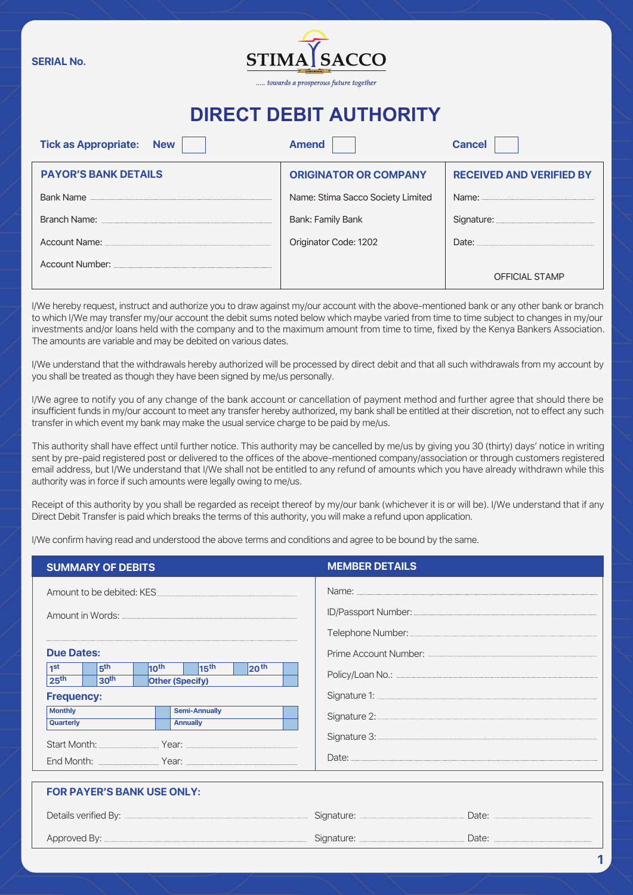**SERIAL No.**



## **DIRECT DEBIT AUTHORITY**

| <b>Tick as Appropriate: New</b>                                                                            | <b>Amend</b>                      | <b>Cancel</b>                          |  |
|------------------------------------------------------------------------------------------------------------|-----------------------------------|----------------------------------------|--|
| <b>PAYOR'S BANK DETAILS</b>                                                                                | <b>ORIGINATOR OR COMPANY</b>      | <b>RECEIVED AND VERIFIED BY</b>        |  |
| Bank Name                                                                                                  | Name: Stima Sacco Society Limited |                                        |  |
| Branch Name: William State Street, William Street, William Street, William Street, William Street, Theorem | Bank: Family Bank                 | Signature: <b>Microsoft Signature:</b> |  |
| Account Name: Account Name:                                                                                | Originator Code: 1202             | Date: <b>Date:</b>                     |  |
|                                                                                                            |                                   | <b>OFFICIAL STAMP</b>                  |  |

I/We hereby request, instruct and authorize you to draw against my/our account with the above-mentioned bank or any other bank or branch to which I/We may transfer my/our account the debit sums noted below which maybe varied from time to time subject to changes in my/our investments and/or loans held with the company and to the maximum amount from time to time, fixed by the Kenya Bankers Association. The amounts are variable and may be debited on various dates.

I/We understand that the withdrawals hereby authorized will be processed by direct debit and that all such withdrawals from my account by you shall be treated as though they have been signed by me/us personally.

I/We agree to notify you of any change of the bank account or cancellation of payment method and further agree that should there be insufficient funds in my/our account to meet any transfer hereby authorized, my bank shall be entitled at their discretion, not to effect any such transfer in which event my bank may make the usual service charge to be paid by me/us.

This authority shall have effect until further notice. This authority may be cancelled by me/us by giving you 30 (thirty) days' notice in writing sent by pre-paid registered post or delivered to the offices of the above-mentioned company/association or through customers registered email address, but I/We understand that I/We shall not be entitled to any refund of amounts which you have already withdrawn while this authority was in force if such amounts were legally owing to me/us.

Receipt of this authority by you shall be regarded as receipt thereof by my/our bank (whichever it is or will be). I/We understand that if any Direct Debit Transfer is paid which breaks the terms of this authority, you will make a refund upon application.

I/We confirm having read and understood the above terms and conditions and agree to be bound by the same.

**FOR PAYER'S BANK USE ONLY:**

| <b>SUMMARY OF DEBITS</b>                                                                                                                                                 | <b>MEMBER DETAILS</b>                                                                                                                                                                                                                |
|--------------------------------------------------------------------------------------------------------------------------------------------------------------------------|--------------------------------------------------------------------------------------------------------------------------------------------------------------------------------------------------------------------------------------|
| Amount to be debited: KES                                                                                                                                                | Name: <u>www.warendo.com/warendo.com/warendo.com/warendo.com/warendo.com/warendo.com/warendo.com/warendo.com/warendo.com/warendo.com/warendo.com/warendo.com/warendo.com/warendo.com/warendo.com/warendo.com/warendo.com/warendo</u> |
|                                                                                                                                                                          |                                                                                                                                                                                                                                      |
|                                                                                                                                                                          |                                                                                                                                                                                                                                      |
| <b>Due Dates:</b>                                                                                                                                                        |                                                                                                                                                                                                                                      |
| 5 <sup>th</sup><br>20 <sup>th</sup><br>$10^{\text{th}}$<br>$\vert$ 15 <sup>th</sup><br>1 <sup>st</sup><br>25 <sup>th</sup><br>30 <sup>th</sup><br><b>Other (Specify)</b> |                                                                                                                                                                                                                                      |
| <b>Frequency:</b>                                                                                                                                                        |                                                                                                                                                                                                                                      |
| <b>Monthly</b><br><b>Semi-Annually</b><br>Quarterly<br><b>Annually</b>                                                                                                   |                                                                                                                                                                                                                                      |
|                                                                                                                                                                          |                                                                                                                                                                                                                                      |
| End Month: The Press Press Press Press Press Press Press Press Press Press Press Press Press Press Press Press                                                           |                                                                                                                                                                                                                                      |
|                                                                                                                                                                          |                                                                                                                                                                                                                                      |

| ___________________________________ |  |
|-------------------------------------|--|
|                                     |  |
|                                     |  |